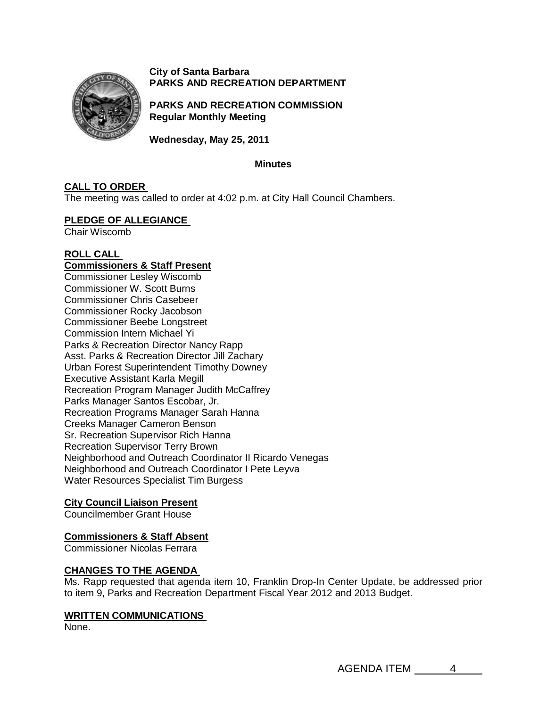

**City of Santa Barbara PARKS AND RECREATION DEPARTMENT**

**PARKS AND RECREATION COMMISSION Regular Monthly Meeting** 

**Wednesday, May 25, 2011** 

### **Minutes**

## **CALL TO ORDER**

The meeting was called to order at 4:02 p.m. at City Hall Council Chambers.

### **[PLEDGE OF ALLEGIANCE](http://santabarbara.granicus.com/MediaPlayerFrameHandler.php?view_id=&clip_id=4117&meta_id=163514)**

Chair Wiscomb

## **[ROLL CALL](http://santabarbara.granicus.com/MediaPlayerFrameHandler.php?view_id=&clip_id=4117&meta_id=163522)**

# **Commissioners & Staff Present**

Commissioner Lesley Wiscomb Commissioner W. Scott Burns Commissioner Chris Casebeer Commissioner Rocky Jacobson Commissioner Beebe Longstreet Commission Intern Michael Yi Parks & Recreation Director Nancy Rapp Asst. Parks & Recreation Director Jill Zachary Urban Forest Superintendent Timothy Downey Executive Assistant Karla Megill Recreation Program Manager Judith McCaffrey Parks Manager Santos Escobar, Jr. Recreation Programs Manager Sarah Hanna Creeks Manager Cameron Benson Sr. Recreation Supervisor Rich Hanna Recreation Supervisor Terry Brown Neighborhood and Outreach Coordinator II Ricardo Venegas Neighborhood and Outreach Coordinator I Pete Leyva Water Resources Specialist Tim Burgess

## **City Council Liaison Present**

Councilmember Grant House

## **Commissioners & Staff Absent**

Commissioner Nicolas Ferrara

## **[CHANGES TO THE AGENDA](http://santabarbara.granicus.com/MediaPlayerFrameHandler.php?view_id=&clip_id=4117&meta_id=163516)**

Ms. Rapp requested that agenda item 10, Franklin Drop-In Center Update, be addressed prior to item 9, Parks and Recreation Department Fiscal Year 2012 and 2013 Budget.

## **[WRITTEN COMMUNICATIONS](http://santabarbara.granicus.com/MediaPlayerFrameHandler.php?view_id=&clip_id=4117&meta_id=163518)**

None.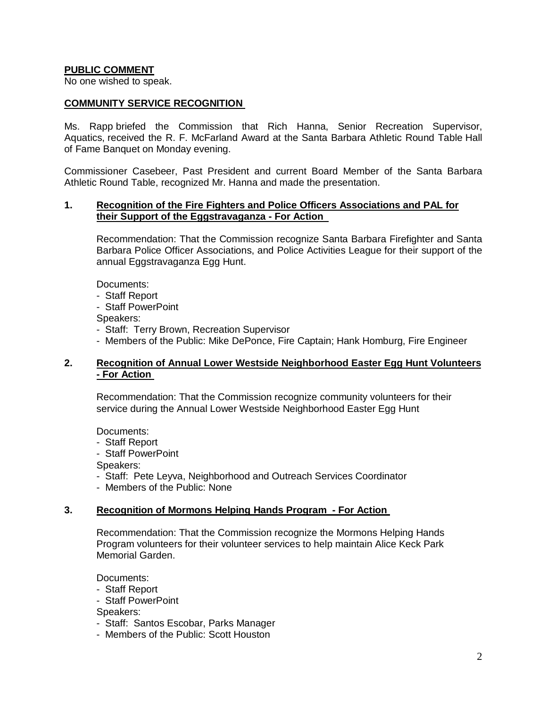## **PUBLIC COMMENT**

No one wished to speak.

### **[COMMUNITY SERVICE RECOGNITION](http://santabarbara.granicus.com/MediaPlayerFrameHandler.php?view_id=&clip_id=4117&meta_id=163520)**

Ms. Rapp briefed the Commission that Rich Hanna, Senior Recreation Supervisor, Aquatics, received the R. F. McFarland Award at the Santa Barbara Athletic Round Table Hall of Fame Banquet on Monday evening.

Commissioner Casebeer, Past President and current Board Member of the Santa Barbara Athletic Round Table, recognized Mr. Hanna and made the presentation.

### **1. [Recognition of the Fire Fighters and Police Officers Associations and PAL for](http://santabarbara.granicus.com/MediaPlayerFrameHandler.php?view_id=&clip_id=4117&meta_id=163524)  [their Support of the Eggstravaganza -](http://santabarbara.granicus.com/MediaPlayerFrameHandler.php?view_id=&clip_id=4117&meta_id=163524) For Action**

Recommendation: That the Commission recognize Santa Barbara Firefighter and Santa Barbara Police Officer Associations, and Police Activities League for their support of the annual Eggstravaganza Egg Hunt.

Documents:

- Staff Report

- Staff PowerPoint

Speakers:

- Staff: Terry Brown, Recreation Supervisor
- Members of the Public: Mike DePonce, Fire Captain; Hank Homburg, Fire Engineer

## **2. [Recognition of Annual Lower Westside Neighborhood Easter Egg Hunt Volunteers](http://santabarbara.granicus.com/MediaPlayerFrameHandler.php?view_id=&clip_id=4117&meta_id=163527)  - [For Action](http://santabarbara.granicus.com/MediaPlayerFrameHandler.php?view_id=&clip_id=4117&meta_id=163527)**

Recommendation: That the Commission recognize community volunteers for their service during the Annual Lower Westside Neighborhood Easter Egg Hunt

Documents:

- Staff Report
- Staff PowerPoint

Speakers:

- Staff: Pete Leyva, Neighborhood and Outreach Services Coordinator
- Members of the Public: None

### **3. [Recognition of Mormons Helping Hands Program](http://santabarbara.granicus.com/MediaPlayerFrameHandler.php?view_id=&clip_id=4117&meta_id=163529) - For Action**

Recommendation: That the Commission recognize the Mormons Helping Hands Program volunteers for their volunteer services to help maintain Alice Keck Park Memorial Garden.

Documents:

- Staff Report
- Staff PowerPoint

Speakers:

- Staff: Santos Escobar, Parks Manager
- Members of the Public: Scott Houston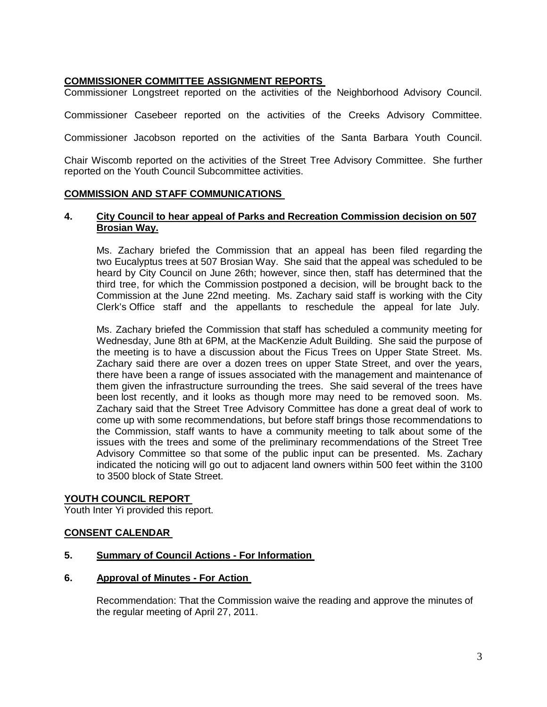## **[COMMISSIONER COMMITTEE ASSIGNMENT REPORTS](http://santabarbara.granicus.com/MediaPlayerFrameHandler.php?view_id=&clip_id=4117&meta_id=163531)**

Commissioner Longstreet reported on the activities of the Neighborhood Advisory Council.

Commissioner Casebeer reported on the activities of the Creeks Advisory Committee.

Commissioner Jacobson reported on the activities of the Santa Barbara Youth Council.

Chair Wiscomb reported on the activities of the Street Tree Advisory Committee. She further reported on the Youth Council Subcommittee activities.

### **[COMMISSION AND STAFF COMMUNICATIONS](http://santabarbara.granicus.com/MediaPlayerFrameHandler.php?view_id=&clip_id=4117&meta_id=163533)**

### **4. [City Council to hear appeal of Parks and Recreation Commission decision on 507](http://santabarbara.granicus.com/MediaPlayerFrameHandler.php?view_id=&clip_id=4117&meta_id=163534)  [Brosian Way.](http://santabarbara.granicus.com/MediaPlayerFrameHandler.php?view_id=&clip_id=4117&meta_id=163534)**

Ms. Zachary briefed the Commission that an appeal has been filed regarding the two Eucalyptus trees at 507 Brosian Way. She said that the appeal was scheduled to be heard by City Council on June 26th; however, since then, staff has determined that the third tree, for which the Commission postponed a decision, will be brought back to the Commission at the June 22nd meeting. Ms. Zachary said staff is working with the City Clerk's Office staff and the appellants to reschedule the appeal for late July.

Ms. Zachary briefed the Commission that staff has scheduled a community meeting for Wednesday, June 8th at 6PM, at the MacKenzie Adult Building. She said the purpose of the meeting is to have a discussion about the Ficus Trees on Upper State Street. Ms. Zachary said there are over a dozen trees on upper State Street, and over the years, there have been a range of issues associated with the management and maintenance of them given the infrastructure surrounding the trees. She said several of the trees have been lost recently, and it looks as though more may need to be removed soon. Ms. Zachary said that the Street Tree Advisory Committee has done a great deal of work to come up with some recommendations, but before staff brings those recommendations to the Commission, staff wants to have a community meeting to talk about some of the issues with the trees and some of the preliminary recommendations of the Street Tree Advisory Committee so that some of the public input can be presented. Ms. Zachary indicated the noticing will go out to adjacent land owners within 500 feet within the 3100 to 3500 block of State Street.

### **[YOUTH COUNCIL REPORT](http://santabarbara.granicus.com/MediaPlayerFrameHandler.php?view_id=&clip_id=4117&meta_id=163536)**

Youth Inter Yi provided this report.

### **[CONSENT CALENDAR](http://santabarbara.granicus.com/MediaPlayerFrameHandler.php?view_id=&clip_id=4117&meta_id=163538)**

### **5. [Summary of Council Actions -](http://santabarbara.granicus.com/MediaPlayerFrameHandler.php?view_id=&clip_id=4117&meta_id=163539) For Information**

**6. [Approval of Minutes -](http://santabarbara.granicus.com/MediaPlayerFrameHandler.php?view_id=&clip_id=4117&meta_id=163540) For Action**

Recommendation: That the Commission waive the reading and approve the minutes of the regular meeting of April 27, 2011.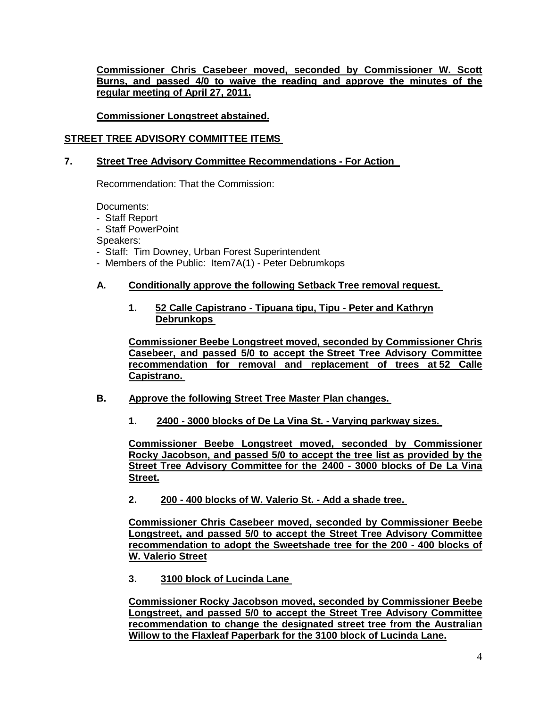**Commissioner Chris Casebeer moved, seconded by Commissioner W. Scott Burns, and passed 4/0 to waive the reading and approve the minutes of the regular meeting of April 27, 2011.** 

**Commissioner Longstreet abstained.**

# **[STREET TREE ADVISORY COMMITTEE ITEMS](http://santabarbara.granicus.com/MediaPlayerFrameHandler.php?view_id=&clip_id=4117&meta_id=163543)**

# **7. [Street Tree Advisory Committee Recommendations -](http://santabarbara.granicus.com/MediaPlayerFrameHandler.php?view_id=&clip_id=4117&meta_id=163544) For Action**

Recommendation: That the Commission:

Documents:

- Staff Report
- Staff PowerPoint

Speakers:

- Staff: Tim Downey, Urban Forest Superintendent
- Members of the Public: Item7A(1) Peter Debrumkops

## **A. [Conditionally approve the following Setback Tree removal request.](http://santabarbara.granicus.com/MediaPlayerFrameHandler.php?view_id=&clip_id=4117&meta_id=163546)**

## **1. [52 Calle Capistrano -](http://santabarbara.granicus.com/MediaPlayerFrameHandler.php?view_id=&clip_id=4117&meta_id=163547) Tipuana tipu, Tipu - Peter and Kathryn [Debrunkops](http://santabarbara.granicus.com/MediaPlayerFrameHandler.php?view_id=&clip_id=4117&meta_id=163547)**

**Commissioner Beebe Longstreet moved, seconded by Commissioner Chris Casebeer, and passed 5/0 to accept the Street Tree Advisory Committee recommendation for removal and replacement of trees at 52 Calle Capistrano.**

- **B. [Approve the following Street Tree Master Plan changes.](http://santabarbara.granicus.com/MediaPlayerFrameHandler.php?view_id=&clip_id=4117&meta_id=163560)** 
	- **1. 2400 - [3000 blocks of De La Vina St. -](http://santabarbara.granicus.com/MediaPlayerFrameHandler.php?view_id=&clip_id=4117&meta_id=163561) Varying parkway sizes.**

**Commissioner Beebe Longstreet moved, seconded by Commissioner Rocky Jacobson, and passed 5/0 to accept the tree list as provided by the Street Tree Advisory Committee for the 2400 - 3000 blocks of De La Vina Street.** 

**2. 200 - [400 blocks of W. Valerio St. -](http://santabarbara.granicus.com/MediaPlayerFrameHandler.php?view_id=&clip_id=4117&meta_id=163562) Add a shade tree.** 

**Commissioner Chris Casebeer moved, seconded by Commissioner Beebe Longstreet, and passed 5/0 to accept the Street Tree Advisory Committee recommendation to adopt the Sweetshade tree for the 200 - 400 blocks of W. Valerio Street**

**3. [3100 block of Lucinda Lane](http://santabarbara.granicus.com/MediaPlayerFrameHandler.php?view_id=&clip_id=4117&meta_id=163563)**

**Commissioner Rocky Jacobson moved, seconded by Commissioner Beebe Longstreet, and passed 5/0 to accept the Street Tree Advisory Committee recommendation to change the designated street tree from the Australian Willow to the Flaxleaf Paperbark for the 3100 block of Lucinda Lane.**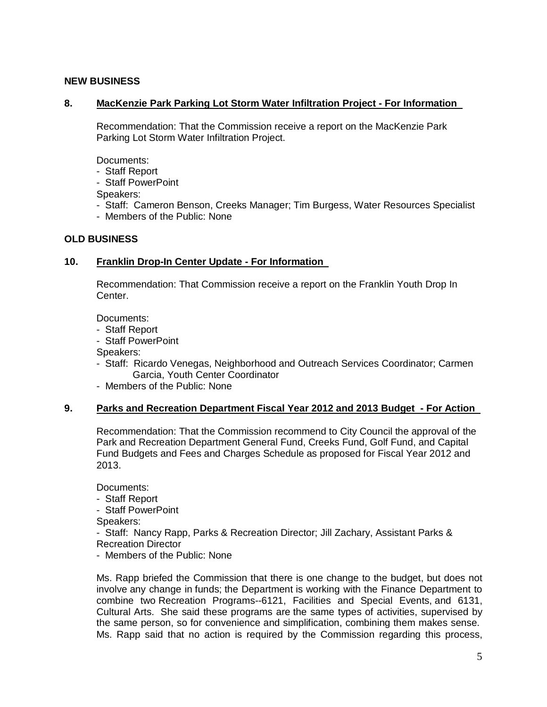## **NEW BUSINESS**

### **8. [MacKenzie Park Parking Lot Storm Water Infiltration Project -](http://santabarbara.granicus.com/MediaPlayerFrameHandler.php?view_id=&clip_id=4117&meta_id=163570) For Information**

Recommendation: That the Commission receive a report on the MacKenzie Park Parking Lot Storm Water Infiltration Project.

Documents:

- Staff Report

- Staff PowerPoint

Speakers:

- Staff: Cameron Benson, Creeks Manager; Tim Burgess, Water Resources Specialist
- Members of the Public: None

### **OLD BUSINESS**

### **10. [Franklin Drop-In Center Update -](http://santabarbara.granicus.com/MediaPlayerFrameHandler.php?view_id=&clip_id=4117&meta_id=163572) For Information**

Recommendation: That Commission receive a report on the Franklin Youth Drop In Center.

Documents:

- Staff Report
- Staff PowerPoint

Speakers:

- Staff: Ricardo Venegas, Neighborhood and Outreach Services Coordinator; Carmen Garcia, Youth Center Coordinator
- Members of the Public: None

### **9. [Parks and Recreation Department Fiscal Year 2012 and 2013 Budget](http://santabarbara.granicus.com/MediaPlayerFrameHandler.php?view_id=&clip_id=4117&meta_id=163576) - For Action**

Recommendation: That the Commission recommend to City Council the approval of the Park and Recreation Department General Fund, Creeks Fund, Golf Fund, and Capital Fund Budgets and Fees and Charges Schedule as proposed for Fiscal Year 2012 and 2013.

Documents:

- Staff Report

- Staff PowerPoint

Speakers:

- Staff: Nancy Rapp, Parks & Recreation Director; Jill Zachary, Assistant Parks & Recreation Director

- Members of the Public: None

Ms. Rapp briefed the Commission that there is one change to the budget, but does not involve any change in funds; the Department is working with the Finance Department to combine two Recreation Programs--6121, Facilities and Special Events, and 6131, Cultural Arts. She said these programs are the same types of activities, supervised by the same person, so for convenience and simplification, combining them makes sense. Ms. Rapp said that no action is required by the Commission regarding this process,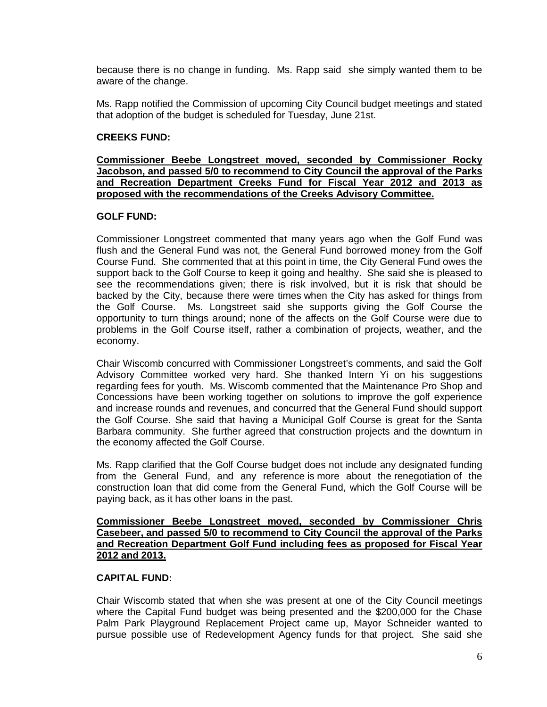because there is no change in funding. Ms. Rapp said she simply wanted them to be aware of the change.

Ms. Rapp notified the Commission of upcoming City Council budget meetings and stated that adoption of the budget is scheduled for Tuesday, June 21st.

## **CREEKS FUND:**

**Commissioner Beebe Longstreet moved, seconded by Commissioner Rocky Jacobson, and passed 5/0 to recommend to City Council the approval of the Parks and Recreation Department Creeks Fund for Fiscal Year 2012 and 2013 as proposed with the recommendations of the Creeks Advisory Committee.** 

### **GOLF FUND:**

Commissioner Longstreet commented that many years ago when the Golf Fund was flush and the General Fund was not, the General Fund borrowed money from the Golf Course Fund. She commented that at this point in time, the City General Fund owes the support back to the Golf Course to keep it going and healthy. She said she is pleased to see the recommendations given; there is risk involved, but it is risk that should be backed by the City, because there were times when the City has asked for things from the Golf Course. Ms. Longstreet said she supports giving the Golf Course the opportunity to turn things around; none of the affects on the Golf Course were due to problems in the Golf Course itself, rather a combination of projects, weather, and the economy.

Chair Wiscomb concurred with Commissioner Longstreet's comments, and said the Golf Advisory Committee worked very hard. She thanked Intern Yi on his suggestions regarding fees for youth. Ms. Wiscomb commented that the Maintenance Pro Shop and Concessions have been working together on solutions to improve the golf experience and increase rounds and revenues, and concurred that the General Fund should support the Golf Course. She said that having a Municipal Golf Course is great for the Santa Barbara community. She further agreed that construction projects and the downturn in the economy affected the Golf Course.

Ms. Rapp clarified that the Golf Course budget does not include any designated funding from the General Fund, and any reference is more about the renegotiation of the construction loan that did come from the General Fund, which the Golf Course will be paying back, as it has other loans in the past.

### **Commissioner Beebe Longstreet moved, seconded by Commissioner Chris Casebeer, and passed 5/0 to recommend to City Council the approval of the Parks and Recreation Department Golf Fund including fees as proposed for Fiscal Year 2012 and 2013.**

### **CAPITAL FUND:**

Chair Wiscomb stated that when she was present at one of the City Council meetings where the Capital Fund budget was being presented and the \$200,000 for the Chase Palm Park Playground Replacement Project came up, Mayor Schneider wanted to pursue possible use of Redevelopment Agency funds for that project. She said she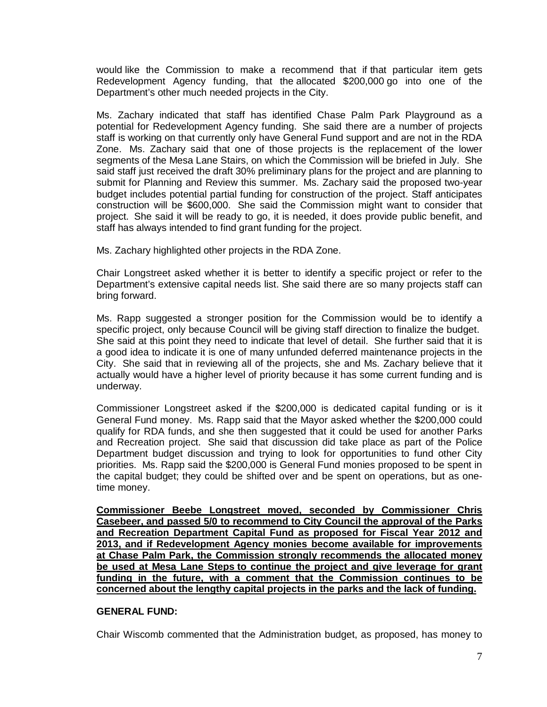would like the Commission to make a recommend that if that particular item gets Redevelopment Agency funding, that the allocated \$200,000 go into one of the Department's other much needed projects in the City.

Ms. Zachary indicated that staff has identified Chase Palm Park Playground as a potential for Redevelopment Agency funding. She said there are a number of projects staff is working on that currently only have General Fund support and are not in the RDA Zone. Ms. Zachary said that one of those projects is the replacement of the lower segments of the Mesa Lane Stairs, on which the Commission will be briefed in July. She said staff just received the draft 30% preliminary plans for the project and are planning to submit for Planning and Review this summer. Ms. Zachary said the proposed two-year budget includes potential partial funding for construction of the project. Staff anticipates construction will be \$600,000. She said the Commission might want to consider that project. She said it will be ready to go, it is needed, it does provide public benefit, and staff has always intended to find grant funding for the project.

Ms. Zachary highlighted other projects in the RDA Zone.

Chair Longstreet asked whether it is better to identify a specific project or refer to the Department's extensive capital needs list. She said there are so many projects staff can bring forward.

Ms. Rapp suggested a stronger position for the Commission would be to identify a specific project, only because Council will be giving staff direction to finalize the budget. She said at this point they need to indicate that level of detail. She further said that it is a good idea to indicate it is one of many unfunded deferred maintenance projects in the City. She said that in reviewing all of the projects, she and Ms. Zachary believe that it actually would have a higher level of priority because it has some current funding and is underway.

Commissioner Longstreet asked if the \$200,000 is dedicated capital funding or is it General Fund money. Ms. Rapp said that the Mayor asked whether the \$200,000 could qualify for RDA funds, and she then suggested that it could be used for another Parks and Recreation project. She said that discussion did take place as part of the Police Department budget discussion and trying to look for opportunities to fund other City priorities. Ms. Rapp said the \$200,000 is General Fund monies proposed to be spent in the capital budget; they could be shifted over and be spent on operations, but as onetime money.

**Commissioner Beebe Longstreet moved, seconded by Commissioner Chris Casebeer, and passed 5/0 to recommend to City Council the approval of the Parks and Recreation Department Capital Fund as proposed for Fiscal Year 2012 and 2013, and if Redevelopment Agency monies become available for improvements at Chase Palm Park, the Commission strongly recommends the allocated money be used at Mesa Lane Steps to continue the project and give leverage for grant funding in the future, with a comment that the Commission continues to be concerned about the lengthy capital projects in the parks and the lack of funding.** 

## **GENERAL FUND:**

Chair Wiscomb commented that the Administration budget, as proposed, has money to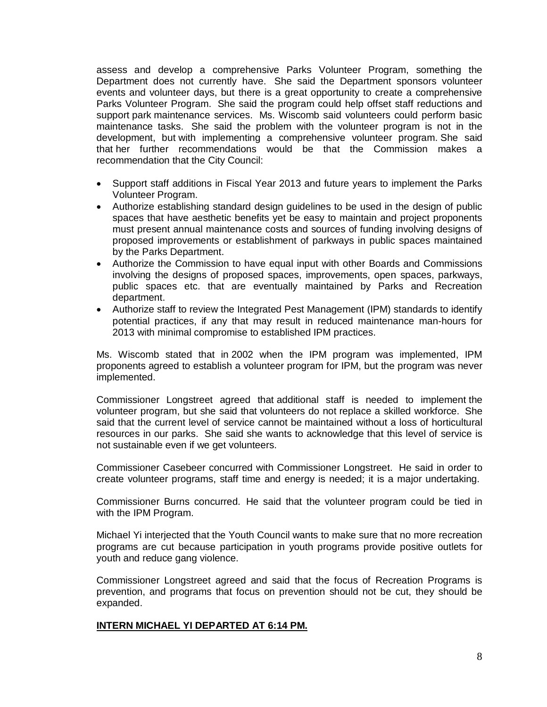assess and develop a comprehensive Parks Volunteer Program, something the Department does not currently have. She said the Department sponsors volunteer events and volunteer days, but there is a great opportunity to create a comprehensive Parks Volunteer Program. She said the program could help offset staff reductions and support park maintenance services. Ms. Wiscomb said volunteers could perform basic maintenance tasks. She said the problem with the volunteer program is not in the development, but with implementing a comprehensive volunteer program. She said that her further recommendations would be that the Commission makes a recommendation that the City Council:

- Support staff additions in Fiscal Year 2013 and future years to implement the Parks Volunteer Program.
- Authorize establishing standard design guidelines to be used in the design of public spaces that have aesthetic benefits yet be easy to maintain and project proponents must present annual maintenance costs and sources of funding involving designs of proposed improvements or establishment of parkways in public spaces maintained by the Parks Department.
- Authorize the Commission to have equal input with other Boards and Commissions involving the designs of proposed spaces, improvements, open spaces, parkways, public spaces etc. that are eventually maintained by Parks and Recreation department.
- Authorize staff to review the Integrated Pest Management (IPM) standards to identify potential practices, if any that may result in reduced maintenance man-hours for 2013 with minimal compromise to established IPM practices.

Ms. Wiscomb stated that in 2002 when the IPM program was implemented, IPM proponents agreed to establish a volunteer program for IPM, but the program was never implemented.

Commissioner Longstreet agreed that additional staff is needed to implement the volunteer program, but she said that volunteers do not replace a skilled workforce. She said that the current level of service cannot be maintained without a loss of horticultural resources in our parks. She said she wants to acknowledge that this level of service is not sustainable even if we get volunteers.

Commissioner Casebeer concurred with Commissioner Longstreet. He said in order to create volunteer programs, staff time and energy is needed; it is a major undertaking.

Commissioner Burns concurred. He said that the volunteer program could be tied in with the IPM Program.

Michael Yi interjected that the Youth Council wants to make sure that no more recreation programs are cut because participation in youth programs provide positive outlets for youth and reduce gang violence.

Commissioner Longstreet agreed and said that the focus of Recreation Programs is prevention, and programs that focus on prevention should not be cut, they should be expanded.

## **INTERN MICHAEL YI DEPARTED AT 6:14 PM.**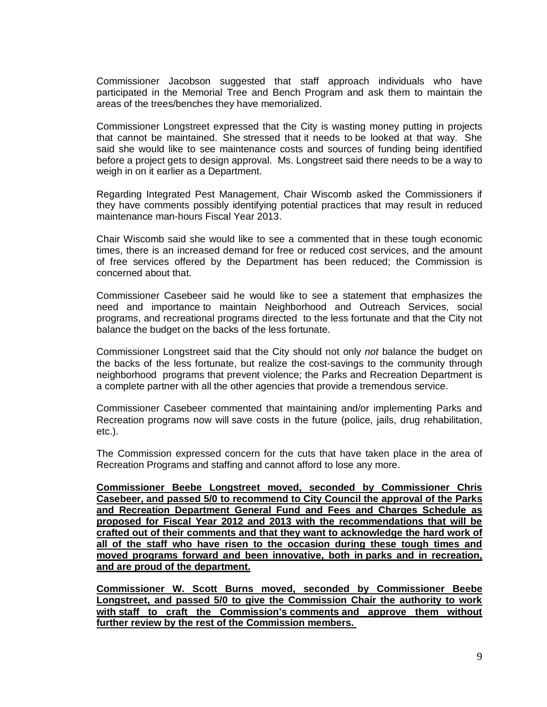Commissioner Jacobson suggested that staff approach individuals who have participated in the Memorial Tree and Bench Program and ask them to maintain the areas of the trees/benches they have memorialized.

Commissioner Longstreet expressed that the City is wasting money putting in projects that cannot be maintained. She stressed that it needs to be looked at that way. She said she would like to see maintenance costs and sources of funding being identified before a project gets to design approval. Ms. Longstreet said there needs to be a way to weigh in on it earlier as a Department.

Regarding Integrated Pest Management, Chair Wiscomb asked the Commissioners if they have comments possibly identifying potential practices that may result in reduced maintenance man-hours Fiscal Year 2013.

Chair Wiscomb said she would like to see a commented that in these tough economic times, there is an increased demand for free or reduced cost services, and the amount of free services offered by the Department has been reduced; the Commission is concerned about that.

Commissioner Casebeer said he would like to see a statement that emphasizes the need and importance to maintain Neighborhood and Outreach Services, social programs, and recreational programs directed to the less fortunate and that the City not balance the budget on the backs of the less fortunate.

Commissioner Longstreet said that the City should not only *not* balance the budget on the backs of the less fortunate, but realize the cost-savings to the community through neighborhood programs that prevent violence; the Parks and Recreation Department is a complete partner with all the other agencies that provide a tremendous service.

Commissioner Casebeer commented that maintaining and/or implementing Parks and Recreation programs now will save costs in the future (police, jails, drug rehabilitation, etc.).

The Commission expressed concern for the cuts that have taken place in the area of Recreation Programs and staffing and cannot afford to lose any more.

**Commissioner Beebe Longstreet moved, seconded by Commissioner Chris Casebeer, and passed 5/0 to recommend to City Council the approval of the Parks and Recreation Department General Fund and Fees and Charges Schedule as proposed for Fiscal Year 2012 and 2013 with the recommendations that will be crafted out of their comments and that they want to acknowledge the hard work of all of the staff who have risen to the occasion during these tough times and moved programs forward and been innovative, both in parks and in recreation, and are proud of the department.** 

**Commissioner W. Scott Burns moved, seconded by Commissioner Beebe Longstreet, and passed 5/0 to give the Commission Chair the authority to work with staff to craft the Commission's comments and approve them without further review by the rest of the Commission members.**